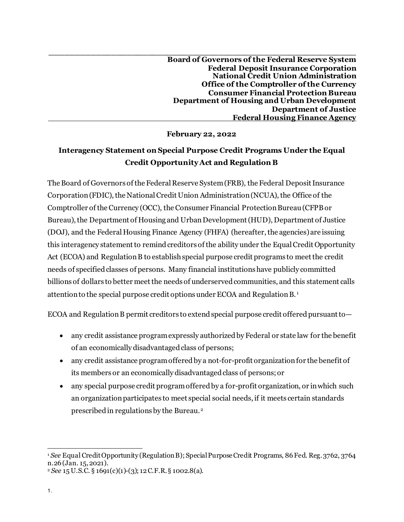**\_\_\_\_\_\_\_\_\_\_\_\_\_\_\_\_\_\_\_\_\_\_\_\_\_\_\_\_\_\_\_\_\_\_\_\_\_\_\_\_\_\_\_\_\_\_\_\_\_\_\_\_\_\_\_\_\_\_\_\_ Board of Governors of the Federal Reserve System Federal Deposit Insurance Corporation National Credit Union Administration Office of the Comptroller of the Currency Consumer Financial Protection Bureau Department of Housing and Urban Development Department of Justice Federal Housing Finance Agency**

**February 22, 2022**

## **Interagency Statement onSpecial Purpose Credit Programs Under the Equal Credit Opportunity Act and Regulation B**

The Board of Governors of the Federal Reserve System (FRB), the Federal Deposit Insurance Corporation (FDIC), the National Credit Union Administration (NCUA), the Office of the Comptroller of the Currency (OCC), the Consumer Financial Protection Bureau (CFPBor Bureau), the Department of Housing and Urban Development (HUD), Department of Justice (DOJ), and the Federal Housing Finance Agency (FHFA) (hereafter, the agencies)are issuing this interagency statement to remind creditors of the ability under the Equal Credit Opportunity Act (ECOA) and Regulation B to establish special purpose credit programs to meet the credit needs of specified classes of persons. Many financial institutions have publicly committed billions of dollars to better meet the needs of underserved communities, and this statement calls attention to the special purpose credit options under ECOA and Regulation B. [1](#page-0-0)

ECOA and Regulation B permit creditors to extend special purpose credit offered pursuant to—

- any credit assistance program expressly authorized by Federal or state law for the benefit of an economically disadvantaged class of persons;
- any credit assistance program offered by a not-for-profit organization for the benefit of its members or an economically disadvantaged class of persons; or
- any special purpose credit program offered by a for-profit organization, or in which such an organization participates to meet special social needs, if it meets certain standards prescribed in regulations by the Bureau.[2](#page-0-1)

<span id="page-0-0"></span><sup>1</sup> *See* Equal Credit Opportunity (Regulation B); Special Purpose Credit Programs, 86 Fed. Reg. 3762, 3764 n.26 (Jan. 15, 2021).

<span id="page-0-1"></span><sup>2</sup> *See* 15 U.S.C. § 1691(c)(1)-(3); 12 C.F.R. § 1002.8(a).